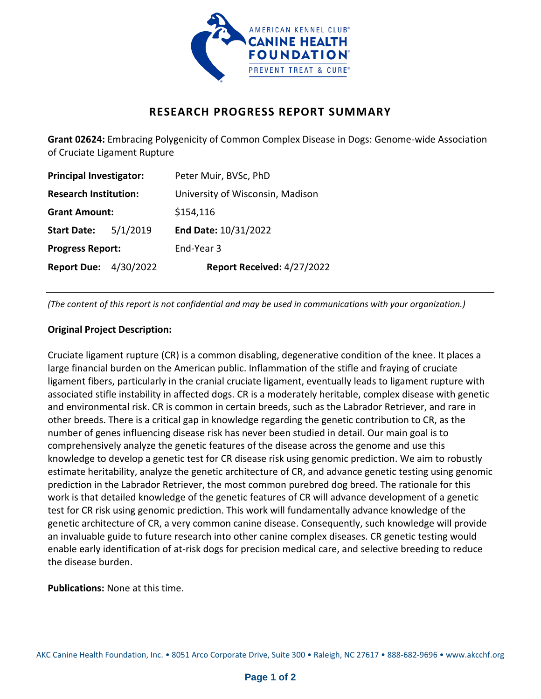

## **RESEARCH PROGRESS REPORT SUMMARY**

**Grant 02624:** Embracing Polygenicity of Common Complex Disease in Dogs: Genome-wide Association of Cruciate Ligament Rupture

| <b>Principal Investigator:</b> |          | Peter Muir, BVSc, PhD            |
|--------------------------------|----------|----------------------------------|
| <b>Research Institution:</b>   |          | University of Wisconsin, Madison |
| <b>Grant Amount:</b>           |          | \$154,116                        |
| <b>Start Date:</b>             | 5/1/2019 | End Date: 10/31/2022             |
| <b>Progress Report:</b>        |          | End-Year 3                       |
| <b>Report Due: 4/30/2022</b>   |          | Report Received: 4/27/2022       |

*(The content of this report is not confidential and may be used in communications with your organization.)*

## **Original Project Description:**

Cruciate ligament rupture (CR) is a common disabling, degenerative condition of the knee. It places a large financial burden on the American public. Inflammation of the stifle and fraying of cruciate ligament fibers, particularly in the cranial cruciate ligament, eventually leads to ligament rupture with associated stifle instability in affected dogs. CR is a moderately heritable, complex disease with genetic and environmental risk. CR is common in certain breeds, such as the Labrador Retriever, and rare in other breeds. There is a critical gap in knowledge regarding the genetic contribution to CR, as the number of genes influencing disease risk has never been studied in detail. Our main goal is to comprehensively analyze the genetic features of the disease across the genome and use this knowledge to develop a genetic test for CR disease risk using genomic prediction. We aim to robustly estimate heritability, analyze the genetic architecture of CR, and advance genetic testing using genomic prediction in the Labrador Retriever, the most common purebred dog breed. The rationale for this work is that detailed knowledge of the genetic features of CR will advance development of a genetic test for CR risk using genomic prediction. This work will fundamentally advance knowledge of the genetic architecture of CR, a very common canine disease. Consequently, such knowledge will provide an invaluable guide to future research into other canine complex diseases. CR genetic testing would enable early identification of at-risk dogs for precision medical care, and selective breeding to reduce the disease burden.

**Publications:** None at this time.